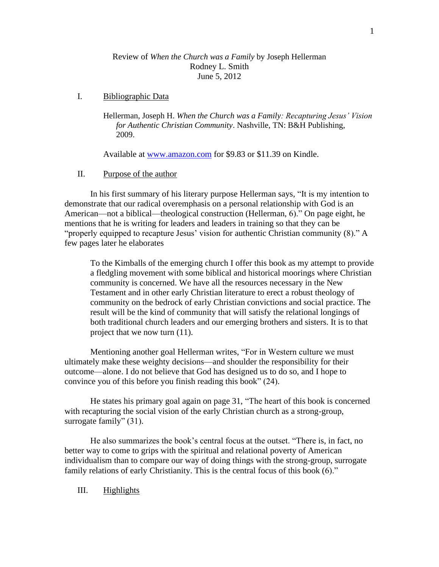## Review of *When the Church was a Family* by Joseph Hellerman Rodney L. Smith June 5, 2012

# I. Bibliographic Data

Hellerman, Joseph H. *When the Church was a Family: Recapturing Jesus' Vision for Authentic Christian Community*. Nashville, TN: B&H Publishing, 2009.

Available at [www.amazon.com](http://www.amazon.com/) for \$9.83 or \$11.39 on Kindle.

# II. Purpose of the author

In his first summary of his literary purpose Hellerman says, "It is my intention to demonstrate that our radical overemphasis on a personal relationship with God is an American—not a biblical—theological construction (Hellerman, 6)." On page eight, he mentions that he is writing for leaders and leaders in training so that they can be "properly equipped to recapture Jesus' vision for authentic Christian community (8)." A few pages later he elaborates

To the Kimballs of the emerging church I offer this book as my attempt to provide a fledgling movement with some biblical and historical moorings where Christian community is concerned. We have all the resources necessary in the New Testament and in other early Christian literature to erect a robust theology of community on the bedrock of early Christian convictions and social practice. The result will be the kind of community that will satisfy the relational longings of both traditional church leaders and our emerging brothers and sisters. It is to that project that we now turn (11).

Mentioning another goal Hellerman writes, "For in Western culture we must ultimately make these weighty decisions—and shoulder the responsibility for their outcome—alone. I do not believe that God has designed us to do so, and I hope to convince you of this before you finish reading this book" (24).

He states his primary goal again on page 31, "The heart of this book is concerned with recapturing the social vision of the early Christian church as a strong-group, surrogate family" (31).

He also summarizes the book's central focus at the outset. "There is, in fact, no better way to come to grips with the spiritual and relational poverty of American individualism than to compare our way of doing things with the strong-group, surrogate family relations of early Christianity. This is the central focus of this book  $(6)$ ."

III. Highlights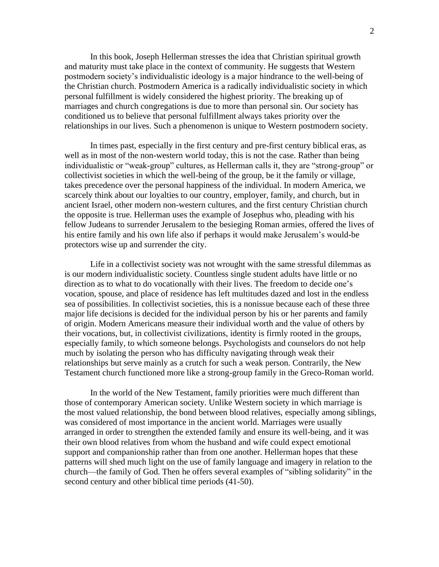In this book, Joseph Hellerman stresses the idea that Christian spiritual growth and maturity must take place in the context of community. He suggests that Western postmodern society's individualistic ideology is a major hindrance to the well-being of the Christian church. Postmodern America is a radically individualistic society in which personal fulfillment is widely considered the highest priority. The breaking up of marriages and church congregations is due to more than personal sin. Our society has conditioned us to believe that personal fulfillment always takes priority over the relationships in our lives. Such a phenomenon is unique to Western postmodern society.

In times past, especially in the first century and pre-first century biblical eras, as well as in most of the non-western world today, this is not the case. Rather than being individualistic or "weak-group" cultures, as Hellerman calls it, they are "strong-group" or collectivist societies in which the well-being of the group, be it the family or village, takes precedence over the personal happiness of the individual. In modern America, we scarcely think about our loyalties to our country, employer, family, and church, but in ancient Israel, other modern non-western cultures, and the first century Christian church the opposite is true. Hellerman uses the example of Josephus who, pleading with his fellow Judeans to surrender Jerusalem to the besieging Roman armies, offered the lives of his entire family and his own life also if perhaps it would make Jerusalem's would-be protectors wise up and surrender the city.

Life in a collectivist society was not wrought with the same stressful dilemmas as is our modern individualistic society. Countless single student adults have little or no direction as to what to do vocationally with their lives. The freedom to decide one's vocation, spouse, and place of residence has left multitudes dazed and lost in the endless sea of possibilities. In collectivist societies, this is a nonissue because each of these three major life decisions is decided for the individual person by his or her parents and family of origin. Modern Americans measure their individual worth and the value of others by their vocations, but, in collectivist civilizations, identity is firmly rooted in the groups, especially family, to which someone belongs. Psychologists and counselors do not help much by isolating the person who has difficulty navigating through weak their relationships but serve mainly as a crutch for such a weak person. Contrarily, the New Testament church functioned more like a strong-group family in the Greco-Roman world.

In the world of the New Testament, family priorities were much different than those of contemporary American society. Unlike Western society in which marriage is the most valued relationship, the bond between blood relatives, especially among siblings, was considered of most importance in the ancient world. Marriages were usually arranged in order to strengthen the extended family and ensure its well-being, and it was their own blood relatives from whom the husband and wife could expect emotional support and companionship rather than from one another. Hellerman hopes that these patterns will shed much light on the use of family language and imagery in relation to the church—the family of God. Then he offers several examples of "sibling solidarity" in the second century and other biblical time periods (41-50).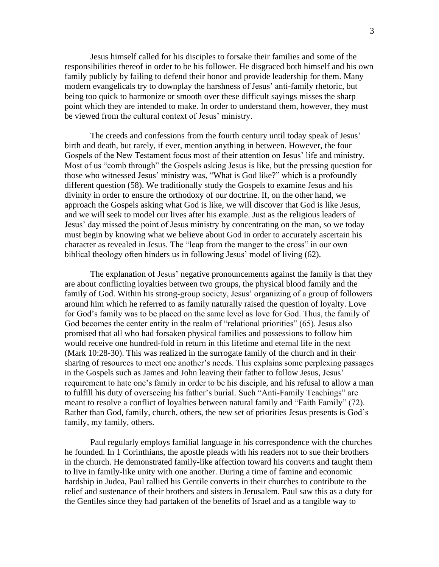Jesus himself called for his disciples to forsake their families and some of the responsibilities thereof in order to be his follower. He disgraced both himself and his own family publicly by failing to defend their honor and provide leadership for them. Many modern evangelicals try to downplay the harshness of Jesus' anti-family rhetoric, but being too quick to harmonize or smooth over these difficult sayings misses the sharp point which they are intended to make. In order to understand them, however, they must be viewed from the cultural context of Jesus' ministry.

The creeds and confessions from the fourth century until today speak of Jesus' birth and death, but rarely, if ever, mention anything in between. However, the four Gospels of the New Testament focus most of their attention on Jesus' life and ministry. Most of us "comb through" the Gospels asking Jesus is like, but the pressing question for those who witnessed Jesus' ministry was, "What is God like?" which is a profoundly different question (58). We traditionally study the Gospels to examine Jesus and his divinity in order to ensure the orthodoxy of our doctrine. If, on the other hand, we approach the Gospels asking what God is like, we will discover that God is like Jesus, and we will seek to model our lives after his example. Just as the religious leaders of Jesus' day missed the point of Jesus ministry by concentrating on the man, so we today must begin by knowing what we believe about God in order to accurately ascertain his character as revealed in Jesus. The "leap from the manger to the cross" in our own biblical theology often hinders us in following Jesus' model of living (62).

The explanation of Jesus' negative pronouncements against the family is that they are about conflicting loyalties between two groups, the physical blood family and the family of God. Within his strong-group society, Jesus' organizing of a group of followers around him which he referred to as family naturally raised the question of loyalty. Love for God's family was to be placed on the same level as love for God. Thus, the family of God becomes the center entity in the realm of "relational priorities" (65). Jesus also promised that all who had forsaken physical families and possessions to follow him would receive one hundred-fold in return in this lifetime and eternal life in the next (Mark 10:28-30). This was realized in the surrogate family of the church and in their sharing of resources to meet one another's needs. This explains some perplexing passages in the Gospels such as James and John leaving their father to follow Jesus, Jesus' requirement to hate one's family in order to be his disciple, and his refusal to allow a man to fulfill his duty of overseeing his father's burial. Such "Anti-Family Teachings" are meant to resolve a conflict of loyalties between natural family and "Faith Family" (72). Rather than God, family, church, others, the new set of priorities Jesus presents is God's family, my family, others.

Paul regularly employs familial language in his correspondence with the churches he founded. In 1 Corinthians, the apostle pleads with his readers not to sue their brothers in the church. He demonstrated family-like affection toward his converts and taught them to live in family-like unity with one another. During a time of famine and economic hardship in Judea, Paul rallied his Gentile converts in their churches to contribute to the relief and sustenance of their brothers and sisters in Jerusalem. Paul saw this as a duty for the Gentiles since they had partaken of the benefits of Israel and as a tangible way to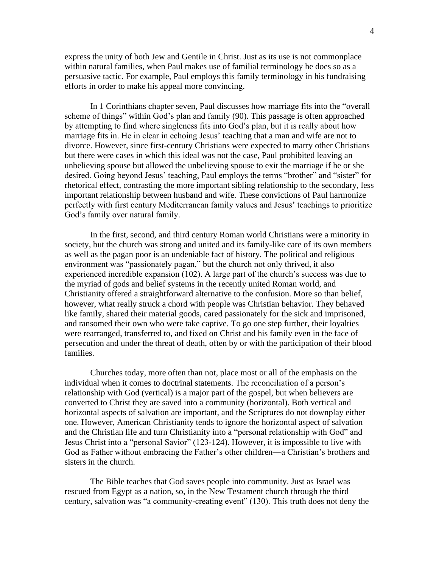express the unity of both Jew and Gentile in Christ. Just as its use is not commonplace within natural families, when Paul makes use of familial terminology he does so as a persuasive tactic. For example, Paul employs this family terminology in his fundraising efforts in order to make his appeal more convincing.

In 1 Corinthians chapter seven, Paul discusses how marriage fits into the "overall scheme of things" within God's plan and family (90). This passage is often approached by attempting to find where singleness fits into God's plan, but it is really about how marriage fits in. He in clear in echoing Jesus' teaching that a man and wife are not to divorce. However, since first-century Christians were expected to marry other Christians but there were cases in which this ideal was not the case, Paul prohibited leaving an unbelieving spouse but allowed the unbelieving spouse to exit the marriage if he or she desired. Going beyond Jesus' teaching, Paul employs the terms "brother" and "sister" for rhetorical effect, contrasting the more important sibling relationship to the secondary, less important relationship between husband and wife. These convictions of Paul harmonize perfectly with first century Mediterranean family values and Jesus' teachings to prioritize God's family over natural family.

In the first, second, and third century Roman world Christians were a minority in society, but the church was strong and united and its family-like care of its own members as well as the pagan poor is an undeniable fact of history. The political and religious environment was "passionately pagan," but the church not only thrived, it also experienced incredible expansion (102). A large part of the church's success was due to the myriad of gods and belief systems in the recently united Roman world, and Christianity offered a straightforward alternative to the confusion. More so than belief, however, what really struck a chord with people was Christian behavior. They behaved like family, shared their material goods, cared passionately for the sick and imprisoned, and ransomed their own who were take captive. To go one step further, their loyalties were rearranged, transferred to, and fixed on Christ and his family even in the face of persecution and under the threat of death, often by or with the participation of their blood families.

Churches today, more often than not, place most or all of the emphasis on the individual when it comes to doctrinal statements. The reconciliation of a person's relationship with God (vertical) is a major part of the gospel, but when believers are converted to Christ they are saved into a community (horizontal). Both vertical and horizontal aspects of salvation are important, and the Scriptures do not downplay either one. However, American Christianity tends to ignore the horizontal aspect of salvation and the Christian life and turn Christianity into a "personal relationship with God" and Jesus Christ into a "personal Savior" (123-124). However, it is impossible to live with God as Father without embracing the Father's other children—a Christian's brothers and sisters in the church.

The Bible teaches that God saves people into community. Just as Israel was rescued from Egypt as a nation, so, in the New Testament church through the third century, salvation was "a community-creating event" (130). This truth does not deny the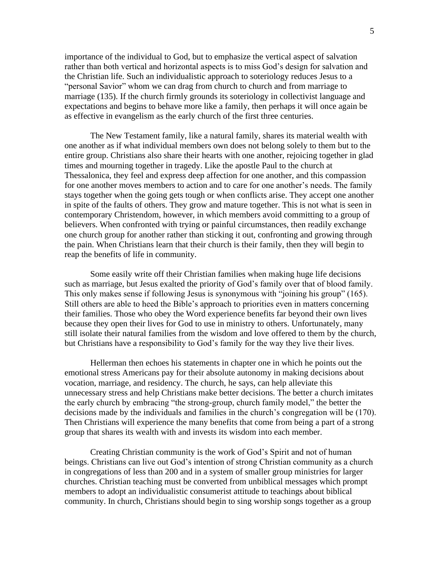importance of the individual to God, but to emphasize the vertical aspect of salvation rather than both vertical and horizontal aspects is to miss God's design for salvation and the Christian life. Such an individualistic approach to soteriology reduces Jesus to a "personal Savior" whom we can drag from church to church and from marriage to marriage (135). If the church firmly grounds its soteriology in collectivist language and expectations and begins to behave more like a family, then perhaps it will once again be as effective in evangelism as the early church of the first three centuries.

The New Testament family, like a natural family, shares its material wealth with one another as if what individual members own does not belong solely to them but to the entire group. Christians also share their hearts with one another, rejoicing together in glad times and mourning together in tragedy. Like the apostle Paul to the church at Thessalonica, they feel and express deep affection for one another, and this compassion for one another moves members to action and to care for one another's needs. The family stays together when the going gets tough or when conflicts arise. They accept one another in spite of the faults of others. They grow and mature together. This is not what is seen in contemporary Christendom, however, in which members avoid committing to a group of believers. When confronted with trying or painful circumstances, then readily exchange one church group for another rather than sticking it out, confronting and growing through the pain. When Christians learn that their church is their family, then they will begin to reap the benefits of life in community.

Some easily write off their Christian families when making huge life decisions such as marriage, but Jesus exalted the priority of God's family over that of blood family. This only makes sense if following Jesus is synonymous with "joining his group" (165). Still others are able to heed the Bible's approach to priorities even in matters concerning their families. Those who obey the Word experience benefits far beyond their own lives because they open their lives for God to use in ministry to others. Unfortunately, many still isolate their natural families from the wisdom and love offered to them by the church, but Christians have a responsibility to God's family for the way they live their lives.

Hellerman then echoes his statements in chapter one in which he points out the emotional stress Americans pay for their absolute autonomy in making decisions about vocation, marriage, and residency. The church, he says, can help alleviate this unnecessary stress and help Christians make better decisions. The better a church imitates the early church by embracing "the strong-group, church family model," the better the decisions made by the individuals and families in the church's congregation will be (170). Then Christians will experience the many benefits that come from being a part of a strong group that shares its wealth with and invests its wisdom into each member.

Creating Christian community is the work of God's Spirit and not of human beings. Christians can live out God's intention of strong Christian community as a church in congregations of less than 200 and in a system of smaller group ministries for larger churches. Christian teaching must be converted from unbiblical messages which prompt members to adopt an individualistic consumerist attitude to teachings about biblical community. In church, Christians should begin to sing worship songs together as a group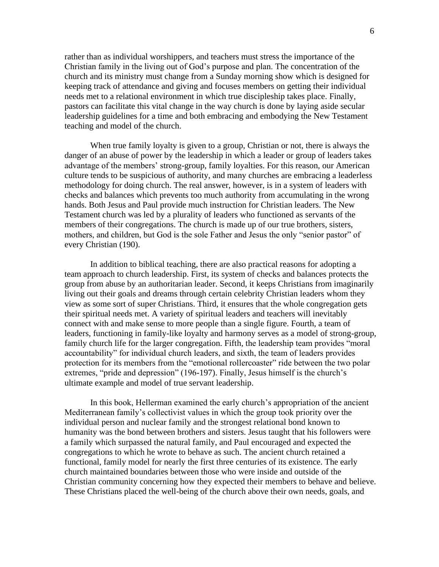rather than as individual worshippers, and teachers must stress the importance of the Christian family in the living out of God's purpose and plan. The concentration of the church and its ministry must change from a Sunday morning show which is designed for keeping track of attendance and giving and focuses members on getting their individual needs met to a relational environment in which true discipleship takes place. Finally, pastors can facilitate this vital change in the way church is done by laying aside secular leadership guidelines for a time and both embracing and embodying the New Testament teaching and model of the church.

When true family loyalty is given to a group, Christian or not, there is always the danger of an abuse of power by the leadership in which a leader or group of leaders takes advantage of the members' strong-group, family loyalties. For this reason, our American culture tends to be suspicious of authority, and many churches are embracing a leaderless methodology for doing church. The real answer, however, is in a system of leaders with checks and balances which prevents too much authority from accumulating in the wrong hands. Both Jesus and Paul provide much instruction for Christian leaders. The New Testament church was led by a plurality of leaders who functioned as servants of the members of their congregations. The church is made up of our true brothers, sisters, mothers, and children, but God is the sole Father and Jesus the only "senior pastor" of every Christian (190).

In addition to biblical teaching, there are also practical reasons for adopting a team approach to church leadership. First, its system of checks and balances protects the group from abuse by an authoritarian leader. Second, it keeps Christians from imaginarily living out their goals and dreams through certain celebrity Christian leaders whom they view as some sort of super Christians. Third, it ensures that the whole congregation gets their spiritual needs met. A variety of spiritual leaders and teachers will inevitably connect with and make sense to more people than a single figure. Fourth, a team of leaders, functioning in family-like loyalty and harmony serves as a model of strong-group, family church life for the larger congregation. Fifth, the leadership team provides "moral accountability" for individual church leaders, and sixth, the team of leaders provides protection for its members from the "emotional rollercoaster" ride between the two polar extremes, "pride and depression" (196-197). Finally, Jesus himself is the church's ultimate example and model of true servant leadership.

In this book, Hellerman examined the early church's appropriation of the ancient Mediterranean family's collectivist values in which the group took priority over the individual person and nuclear family and the strongest relational bond known to humanity was the bond between brothers and sisters. Jesus taught that his followers were a family which surpassed the natural family, and Paul encouraged and expected the congregations to which he wrote to behave as such. The ancient church retained a functional, family model for nearly the first three centuries of its existence. The early church maintained boundaries between those who were inside and outside of the Christian community concerning how they expected their members to behave and believe. These Christians placed the well-being of the church above their own needs, goals, and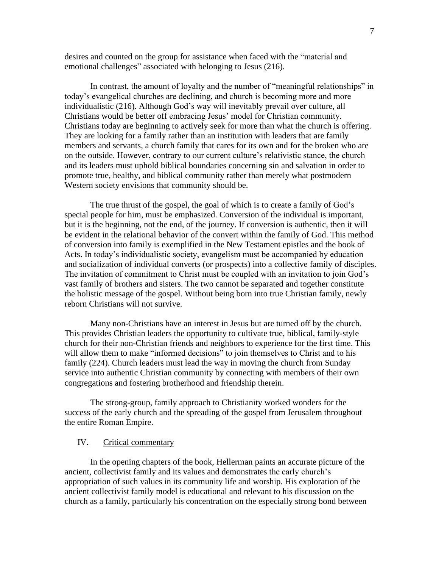desires and counted on the group for assistance when faced with the "material and emotional challenges" associated with belonging to Jesus (216).

In contrast, the amount of loyalty and the number of "meaningful relationships" in today's evangelical churches are declining, and church is becoming more and more individualistic (216). Although God's way will inevitably prevail over culture, all Christians would be better off embracing Jesus' model for Christian community. Christians today are beginning to actively seek for more than what the church is offering. They are looking for a family rather than an institution with leaders that are family members and servants, a church family that cares for its own and for the broken who are on the outside. However, contrary to our current culture's relativistic stance, the church and its leaders must uphold biblical boundaries concerning sin and salvation in order to promote true, healthy, and biblical community rather than merely what postmodern Western society envisions that community should be.

The true thrust of the gospel, the goal of which is to create a family of God's special people for him, must be emphasized. Conversion of the individual is important, but it is the beginning, not the end, of the journey. If conversion is authentic, then it will be evident in the relational behavior of the convert within the family of God. This method of conversion into family is exemplified in the New Testament epistles and the book of Acts. In today's individualistic society, evangelism must be accompanied by education and socialization of individual converts (or prospects) into a collective family of disciples. The invitation of commitment to Christ must be coupled with an invitation to join God's vast family of brothers and sisters. The two cannot be separated and together constitute the holistic message of the gospel. Without being born into true Christian family, newly reborn Christians will not survive.

Many non-Christians have an interest in Jesus but are turned off by the church. This provides Christian leaders the opportunity to cultivate true, biblical, family-style church for their non-Christian friends and neighbors to experience for the first time. This will allow them to make "informed decisions" to join themselves to Christ and to his family (224). Church leaders must lead the way in moving the church from Sunday service into authentic Christian community by connecting with members of their own congregations and fostering brotherhood and friendship therein.

The strong-group, family approach to Christianity worked wonders for the success of the early church and the spreading of the gospel from Jerusalem throughout the entire Roman Empire.

#### IV. Critical commentary

In the opening chapters of the book, Hellerman paints an accurate picture of the ancient, collectivist family and its values and demonstrates the early church's appropriation of such values in its community life and worship. His exploration of the ancient collectivist family model is educational and relevant to his discussion on the church as a family, particularly his concentration on the especially strong bond between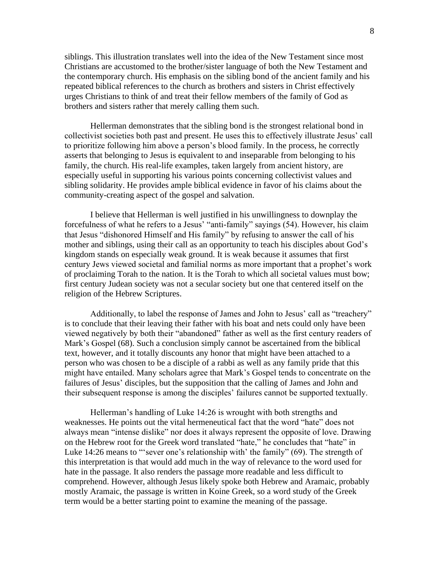siblings. This illustration translates well into the idea of the New Testament since most Christians are accustomed to the brother/sister language of both the New Testament and the contemporary church. His emphasis on the sibling bond of the ancient family and his repeated biblical references to the church as brothers and sisters in Christ effectively urges Christians to think of and treat their fellow members of the family of God as brothers and sisters rather that merely calling them such.

Hellerman demonstrates that the sibling bond is the strongest relational bond in collectivist societies both past and present. He uses this to effectively illustrate Jesus' call to prioritize following him above a person's blood family. In the process, he correctly asserts that belonging to Jesus is equivalent to and inseparable from belonging to his family, the church. His real-life examples, taken largely from ancient history, are especially useful in supporting his various points concerning collectivist values and sibling solidarity. He provides ample biblical evidence in favor of his claims about the community-creating aspect of the gospel and salvation.

I believe that Hellerman is well justified in his unwillingness to downplay the forcefulness of what he refers to a Jesus' "anti-family" sayings (54). However, his claim that Jesus "dishonored Himself and His family" by refusing to answer the call of his mother and siblings, using their call as an opportunity to teach his disciples about God's kingdom stands on especially weak ground. It is weak because it assumes that first century Jews viewed societal and familial norms as more important that a prophet's work of proclaiming Torah to the nation. It is the Torah to which all societal values must bow; first century Judean society was not a secular society but one that centered itself on the religion of the Hebrew Scriptures.

Additionally, to label the response of James and John to Jesus' call as "treachery" is to conclude that their leaving their father with his boat and nets could only have been viewed negatively by both their "abandoned" father as well as the first century readers of Mark's Gospel (68). Such a conclusion simply cannot be ascertained from the biblical text, however, and it totally discounts any honor that might have been attached to a person who was chosen to be a disciple of a rabbi as well as any family pride that this might have entailed. Many scholars agree that Mark's Gospel tends to concentrate on the failures of Jesus' disciples, but the supposition that the calling of James and John and their subsequent response is among the disciples' failures cannot be supported textually.

Hellerman's handling of Luke 14:26 is wrought with both strengths and weaknesses. He points out the vital hermeneutical fact that the word "hate" does not always mean "intense dislike" nor does it always represent the opposite of love. Drawing on the Hebrew root for the Greek word translated "hate," he concludes that "hate" in Luke 14:26 means to "sever one's relationship with' the family" (69). The strength of this interpretation is that would add much in the way of relevance to the word used for hate in the passage. It also renders the passage more readable and less difficult to comprehend. However, although Jesus likely spoke both Hebrew and Aramaic, probably mostly Aramaic, the passage is written in Koine Greek, so a word study of the Greek term would be a better starting point to examine the meaning of the passage.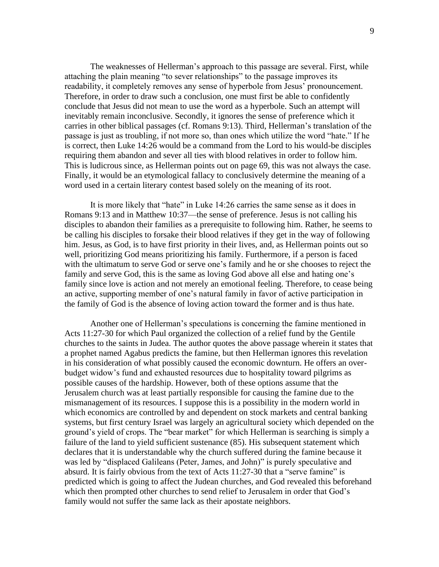The weaknesses of Hellerman's approach to this passage are several. First, while attaching the plain meaning "to sever relationships" to the passage improves its readability, it completely removes any sense of hyperbole from Jesus' pronouncement. Therefore, in order to draw such a conclusion, one must first be able to confidently conclude that Jesus did not mean to use the word as a hyperbole. Such an attempt will inevitably remain inconclusive. Secondly, it ignores the sense of preference which it carries in other biblical passages (cf. Romans 9:13). Third, Hellerman's translation of the passage is just as troubling, if not more so, than ones which utilize the word "hate." If he is correct, then Luke 14:26 would be a command from the Lord to his would-be disciples requiring them abandon and sever all ties with blood relatives in order to follow him. This is ludicrous since, as Hellerman points out on page 69, this was not always the case. Finally, it would be an etymological fallacy to conclusively determine the meaning of a word used in a certain literary contest based solely on the meaning of its root.

It is more likely that "hate" in Luke 14:26 carries the same sense as it does in Romans 9:13 and in Matthew 10:37—the sense of preference. Jesus is not calling his disciples to abandon their families as a prerequisite to following him. Rather, he seems to be calling his disciples to forsake their blood relatives if they get in the way of following him. Jesus, as God, is to have first priority in their lives, and, as Hellerman points out so well, prioritizing God means prioritizing his family. Furthermore, if a person is faced with the ultimatum to serve God or serve one's family and he or she chooses to reject the family and serve God, this is the same as loving God above all else and hating one's family since love is action and not merely an emotional feeling. Therefore, to cease being an active, supporting member of one's natural family in favor of active participation in the family of God is the absence of loving action toward the former and is thus hate.

Another one of Hellerman's speculations is concerning the famine mentioned in Acts 11:27-30 for which Paul organized the collection of a relief fund by the Gentile churches to the saints in Judea. The author quotes the above passage wherein it states that a prophet named Agabus predicts the famine, but then Hellerman ignores this revelation in his consideration of what possibly caused the economic downturn. He offers an overbudget widow's fund and exhausted resources due to hospitality toward pilgrims as possible causes of the hardship. However, both of these options assume that the Jerusalem church was at least partially responsible for causing the famine due to the mismanagement of its resources. I suppose this is a possibility in the modern world in which economics are controlled by and dependent on stock markets and central banking systems, but first century Israel was largely an agricultural society which depended on the ground's yield of crops. The "bear market" for which Hellerman is searching is simply a failure of the land to yield sufficient sustenance (85). His subsequent statement which declares that it is understandable why the church suffered during the famine because it was led by "displaced Galileans (Peter, James, and John)" is purely speculative and absurd. It is fairly obvious from the text of Acts 11:27-30 that a "serve famine" is predicted which is going to affect the Judean churches, and God revealed this beforehand which then prompted other churches to send relief to Jerusalem in order that God's family would not suffer the same lack as their apostate neighbors.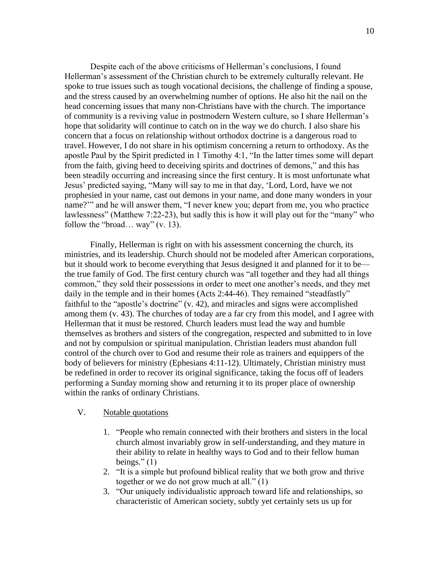Despite each of the above criticisms of Hellerman's conclusions, I found Hellerman's assessment of the Christian church to be extremely culturally relevant. He spoke to true issues such as tough vocational decisions, the challenge of finding a spouse, and the stress caused by an overwhelming number of options. He also hit the nail on the head concerning issues that many non-Christians have with the church. The importance of community is a reviving value in postmodern Western culture, so I share Hellerman's hope that solidarity will continue to catch on in the way we do church. I also share his concern that a focus on relationship without orthodox doctrine is a dangerous road to travel. However, I do not share in his optimism concerning a return to orthodoxy. As the apostle Paul by the Spirit predicted in 1 Timothy 4:1, "In the latter times some will depart from the faith, giving heed to deceiving spirits and doctrines of demons," and this has been steadily occurring and increasing since the first century. It is most unfortunate what Jesus' predicted saying, "Many will say to me in that day, 'Lord, Lord, have we not prophesied in your name, cast out demons in your name, and done many wonders in your name?'" and he will answer them, "I never knew you; depart from me, you who practice lawlessness" (Matthew 7:22-23), but sadly this is how it will play out for the "many" who follow the "broad… way" (v. 13).

Finally, Hellerman is right on with his assessment concerning the church, its ministries, and its leadership. Church should not be modeled after American corporations, but it should work to become everything that Jesus designed it and planned for it to be the true family of God. The first century church was "all together and they had all things common," they sold their possessions in order to meet one another's needs, and they met daily in the temple and in their homes (Acts 2:44-46). They remained "steadfastly" faithful to the "apostle's doctrine" (v. 42), and miracles and signs were accomplished among them (v. 43). The churches of today are a far cry from this model, and I agree with Hellerman that it must be restored. Church leaders must lead the way and humble themselves as brothers and sisters of the congregation, respected and submitted to in love and not by compulsion or spiritual manipulation. Christian leaders must abandon full control of the church over to God and resume their role as trainers and equippers of the body of believers for ministry (Ephesians 4:11-12). Ultimately, Christian ministry must be redefined in order to recover its original significance, taking the focus off of leaders performing a Sunday morning show and returning it to its proper place of ownership within the ranks of ordinary Christians.

## V. Notable quotations

- 1. "People who remain connected with their brothers and sisters in the local church almost invariably grow in self-understanding, and they mature in their ability to relate in healthy ways to God and to their fellow human beings." $(1)$
- 2. "It is a simple but profound biblical reality that we both grow and thrive together or we do not grow much at all." (1)
- 3. "Our uniquely individualistic approach toward life and relationships, so characteristic of American society, subtly yet certainly sets us up for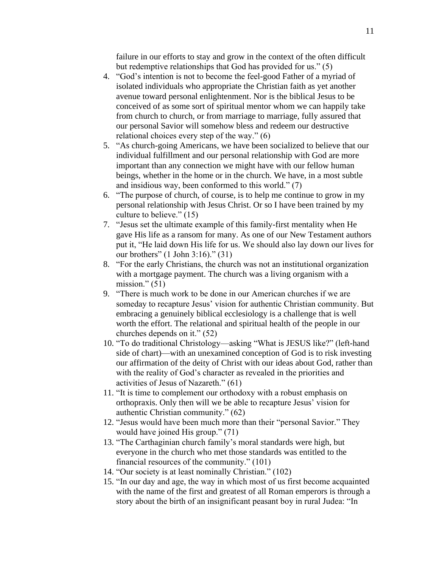failure in our efforts to stay and grow in the context of the often difficult but redemptive relationships that God has provided for us." (5)

- 4. "God's intention is not to become the feel-good Father of a myriad of isolated individuals who appropriate the Christian faith as yet another avenue toward personal enlightenment. Nor is the biblical Jesus to be conceived of as some sort of spiritual mentor whom we can happily take from church to church, or from marriage to marriage, fully assured that our personal Savior will somehow bless and redeem our destructive relational choices every step of the way." (6)
- 5. "As church-going Americans, we have been socialized to believe that our individual fulfillment and our personal relationship with God are more important than any connection we might have with our fellow human beings, whether in the home or in the church. We have, in a most subtle and insidious way, been conformed to this world." (7)
- 6. "The purpose of church, of course, is to help me continue to grow in my personal relationship with Jesus Christ. Or so I have been trained by my culture to believe."  $(15)$
- 7. "Jesus set the ultimate example of this family-first mentality when He gave His life as a ransom for many. As one of our New Testament authors put it, "He laid down His life for us. We should also lay down our lives for our brothers" (1 John 3:16)." (31)
- 8. "For the early Christians, the church was not an institutional organization with a mortgage payment. The church was a living organism with a mission." $(51)$
- 9. "There is much work to be done in our American churches if we are someday to recapture Jesus' vision for authentic Christian community. But embracing a genuinely biblical ecclesiology is a challenge that is well worth the effort. The relational and spiritual health of the people in our churches depends on it." (52)
- 10. "To do traditional Christology—asking "What is JESUS like?" (left-hand side of chart)—with an unexamined conception of God is to risk investing our affirmation of the deity of Christ with our ideas about God, rather than with the reality of God's character as revealed in the priorities and activities of Jesus of Nazareth." (61)
- 11. "It is time to complement our orthodoxy with a robust emphasis on orthopraxis. Only then will we be able to recapture Jesus' vision for authentic Christian community." (62)
- 12. "Jesus would have been much more than their "personal Savior." They would have joined His group." (71)
- 13. "The Carthaginian church family's moral standards were high, but everyone in the church who met those standards was entitled to the financial resources of the community." (101)
- 14. "Our society is at least nominally Christian." (102)
- 15. "In our day and age, the way in which most of us first become acquainted with the name of the first and greatest of all Roman emperors is through a story about the birth of an insignificant peasant boy in rural Judea: "In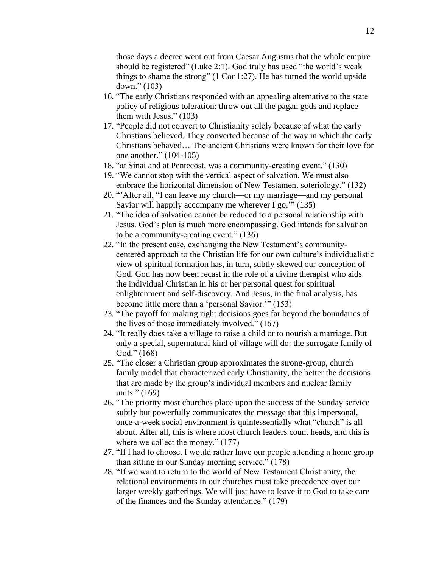those days a decree went out from Caesar Augustus that the whole empire should be registered" (Luke 2:1). God truly has used "the world's weak things to shame the strong" (1 Cor 1:27). He has turned the world upside down." (103)

- 16. "The early Christians responded with an appealing alternative to the state policy of religious toleration: throw out all the pagan gods and replace them with Jesus." (103)
- 17. "People did not convert to Christianity solely because of what the early Christians believed. They converted because of the way in which the early Christians behaved… The ancient Christians were known for their love for one another." (104-105)
- 18. "at Sinai and at Pentecost, was a community-creating event." (130)
- 19. "We cannot stop with the vertical aspect of salvation. We must also embrace the horizontal dimension of New Testament soteriology." (132)
- 20. "'After all, "I can leave my church—or my marriage—and my personal Savior will happily accompany me wherever I go.'" (135)
- 21. "The idea of salvation cannot be reduced to a personal relationship with Jesus. God's plan is much more encompassing. God intends for salvation to be a community-creating event." (136)
- 22. "In the present case, exchanging the New Testament's communitycentered approach to the Christian life for our own culture's individualistic view of spiritual formation has, in turn, subtly skewed our conception of God. God has now been recast in the role of a divine therapist who aids the individual Christian in his or her personal quest for spiritual enlightenment and self-discovery. And Jesus, in the final analysis, has become little more than a 'personal Savior.'" (153)
- 23. "The payoff for making right decisions goes far beyond the boundaries of the lives of those immediately involved." (167)
- 24. "It really does take a village to raise a child or to nourish a marriage. But only a special, supernatural kind of village will do: the surrogate family of God." (168)
- 25. "The closer a Christian group approximates the strong-group, church family model that characterized early Christianity, the better the decisions that are made by the group's individual members and nuclear family units." (169)
- 26. "The priority most churches place upon the success of the Sunday service subtly but powerfully communicates the message that this impersonal, once-a-week social environment is quintessentially what "church" is all about. After all, this is where most church leaders count heads, and this is where we collect the money."  $(177)$
- 27. "If I had to choose, I would rather have our people attending a home group than sitting in our Sunday morning service." (178)
- 28. "If we want to return to the world of New Testament Christianity, the relational environments in our churches must take precedence over our larger weekly gatherings. We will just have to leave it to God to take care of the finances and the Sunday attendance." (179)